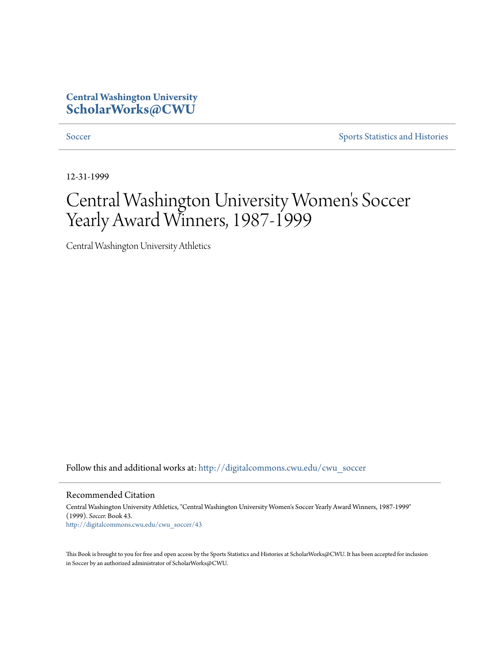### **Central Washington University [ScholarWorks@CWU](http://digitalcommons.cwu.edu?utm_source=digitalcommons.cwu.edu%2Fcwu_soccer%2F43&utm_medium=PDF&utm_campaign=PDFCoverPages)**

[Soccer](http://digitalcommons.cwu.edu/cwu_soccer?utm_source=digitalcommons.cwu.edu%2Fcwu_soccer%2F43&utm_medium=PDF&utm_campaign=PDFCoverPages) [Sports Statistics and Histories](http://digitalcommons.cwu.edu/cwu_sports_statistics?utm_source=digitalcommons.cwu.edu%2Fcwu_soccer%2F43&utm_medium=PDF&utm_campaign=PDFCoverPages)

12-31-1999

# Central Washington University Women 's Soccer Yearly Award Winners, 1987-1999

Central Washington University Athletics

Follow this and additional works at: [http://digitalcommons.cwu.edu/cwu\\_soccer](http://digitalcommons.cwu.edu/cwu_soccer?utm_source=digitalcommons.cwu.edu%2Fcwu_soccer%2F43&utm_medium=PDF&utm_campaign=PDFCoverPages)

Recommended Citation

Central Washington University Athletics, "Central Washington University Women's Soccer Yearly Award Winners, 1987-1999" (1999). *Soccer.* Book 43. [http://digitalcommons.cwu.edu/cwu\\_soccer/43](http://digitalcommons.cwu.edu/cwu_soccer/43?utm_source=digitalcommons.cwu.edu%2Fcwu_soccer%2F43&utm_medium=PDF&utm_campaign=PDFCoverPages)

This Book is brought to you for free and open access by the Sports Statistics and Histories at ScholarWorks@CWU. It has been accepted for inclusion in Soccer by an authorized administrator of ScholarWorks@CWU.